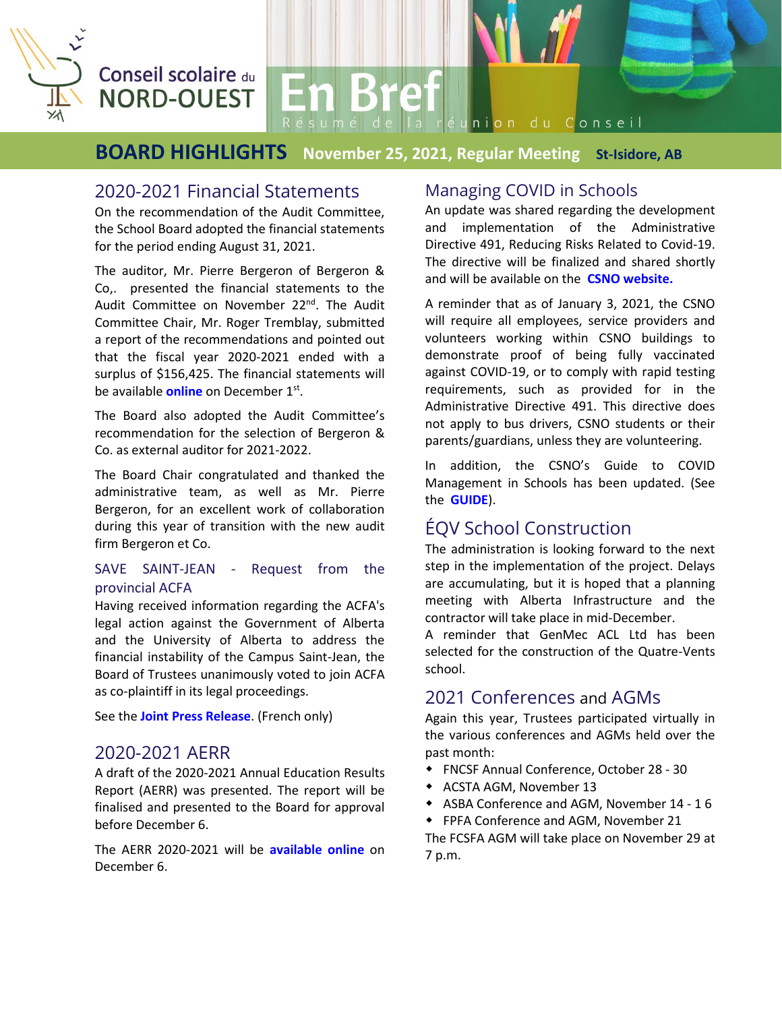

## Conseil scolaire du **NORD-OUEST**

## **BOARD HIGHLIGHTS November 25, 2021, Regular Meeting St-Isidore, AB**

Résumé de la réunion du Conseil

**En Bref** 

### 2020-2021 Financial Statements

On the recommendation of the Audit Committee, the School Board adopted the financial statements for the period ending August 31, 2021.

The auditor, Mr. Pierre Bergeron of Bergeron & Co,. presented the financial statements to the Audit Committee on November 22<sup>nd</sup>. The Audit Committee Chair, Mr. Roger Tremblay, submitted a report of the recommendations and pointed out that the fiscal year 2020-2021 ended with a surplus of \$156,425. The financial statements will be available **[online](https://csno.ab.ca/le-conseil/publications/)** on December 1<sup>st</sup>.

The Board also adopted the Audit Committee's recommendation for the selection of Bergeron & Co. as external auditor for 2021-2022.

The Board Chair congratulated and thanked the administrative team, as well as Mr. Pierre Bergeron, for an excellent work of collaboration during this year of transition with the new audit firm Bergeron et Co.

#### SAVE SAINT-JEAN - Request from the provincial ACFA

Having received information regarding the ACFA's legal action against the Government of Alberta and the University of Alberta to address the financial instability of the Campus Saint-Jean, the Board of Trustees unanimously voted to join ACFA as co-plaintiff in its legal proceedings.

See the **[Joint Press Release](https://csno.ab.ca/2021/11/26/communique-conjoint/)**. (French only)

### 2020-2021 AERR

A draft of the 2020-2021 Annual Education Results Report (AERR) was presented. The report will be finalised and presented to the Board for approval before December 6.

The AERR 2020-2021 will be **[available](http://csno.ab.ca/le-conseil/publications/) online** on December 6.

### Managing COVID in Schools

An update was shared regarding the development and implementation of the Administrative Directive 491, Reducing Risks Related to Covid-19. The directive will be finalized and shared shortly and will be available on the **CSNO [website.](https://csno.ab.ca/le-conseil/directives-administratives/)**

A reminder that as of January 3, 2021, the CSNO will require all employees, service providers and volunteers working within CSNO buildings to demonstrate proof of being fully vaccinated against COVID-19, or to comply with rapid testing requirements, such as provided for in the Administrative Directive 491. This directive does not apply to bus drivers, CSNO students or their parents/guardians, unless they are volunteering.

In addition, the CSNO's Guide to COVID Management in Schools has been updated. (See the **[GUIDE](https://csno.ab.ca/2020/07/23/plan-de-rentree-2021-2022/)**).

## ÉQV School Construction

The administration is looking forward to the next step in the implementation of the project. Delays are accumulating, but it is hoped that a planning meeting with Alberta Infrastructure and the contractor will take place in mid-December.

A reminder that GenMec ACL Ltd has been selected for the construction of the Quatre-Vents school.

### 2021 Conferences and AGMs

Again this year, Trustees participated virtually in the various conferences and AGMs held over the past month:

- FNCSF Annual Conference, October 28 30
- ACSTA AGM, November 13
- ASBA Conference and AGM, November 14 1 6
- FPFA Conference and AGM, November 21

The FCSFA AGM will take place on November 29 at 7 p.m.